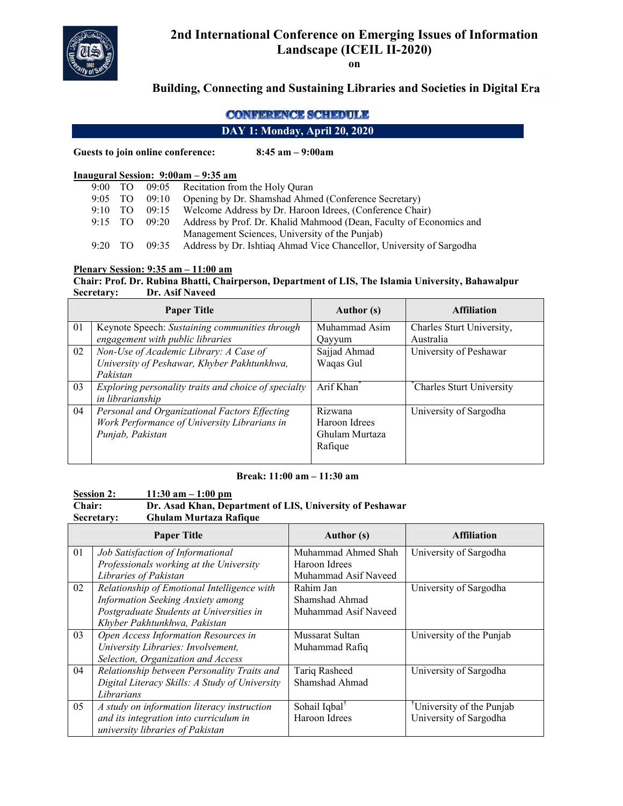

# **2nd International Conference on Emerging Issues of Information Landscape (ICEIL II-2020)**

**on**

## **Building, Connecting and Sustaining Libraries and Societies in Digital Era**

### **CONFERENCE SCHEDULE**

### **DAY 1: Monday, April 20, 2020**

**Guests to join online conference: 8:45 am – 9:00am**

#### **Inaugural Session: 9:00am – 9:35 am**

|           |      |       | 9:00 TO 09:05 Recitation from the Holy Ouran                              |
|-----------|------|-------|---------------------------------------------------------------------------|
| 9:05 TO   |      | 09:10 | Opening by Dr. Shamshad Ahmed (Conference Secretary)                      |
| $9:10$ TO |      | 09:15 | Welcome Address by Dr. Haroon Idrees, (Conference Chair)                  |
| $9:15$ TO |      |       | 09:20 Address by Prof. Dr. Khalid Mahmood (Dean, Faculty of Economics and |
|           |      |       | Management Sciences, University of the Punjab)                            |
| 9:20      | . TO | 09:35 | Address by Dr. Ishtiaq Ahmad Vice Chancellor, University of Sargodha      |

#### **Plenary Session: 9:35 am – 11:00 am**

#### **Chair: Prof. Dr. Rubina Bhatti, Chairperson, Department of LIS, The Islamia University, Bahawalpur Secretary: Dr. Asif Naveed**

|    | <b>Paper Title</b>                                   | <b>Author</b> (s)      | <b>Affiliation</b>        |
|----|------------------------------------------------------|------------------------|---------------------------|
| 01 | Keynote Speech: Sustaining communities through       | Muhammad Asim          | Charles Sturt University, |
|    | engagement with public libraries                     | Oayyum                 | Australia                 |
| 02 | Non-Use of Academic Library: A Case of               | Sajjad Ahmad           | University of Peshawar    |
|    | University of Peshawar, Khyber Pakhtunkhwa,          | Waqas Gul              |                           |
|    | Pakistan                                             |                        |                           |
| 03 | Exploring personality traits and choice of specialty | Arif Khan <sup>*</sup> | Charles Sturt University  |
|    | in librarianship                                     |                        |                           |
| 04 | Personal and Organizational Factors Effecting        | Rizwana                | University of Sargodha    |
|    | Work Performance of University Librarians in         | Haroon Idrees          |                           |
|    | Punjab, Pakistan                                     | Ghulam Murtaza         |                           |
|    |                                                      | Rafique                |                           |
|    |                                                      |                        |                           |

#### **Break: 11:00 am – 11:30 am**

# **<u>Session 2:** 11:30 am – 1:00 pm</u><br> **Chair:** Dr. Asad Khan, Dep

#### **Dr. Asad Khan, Department of LIS, University of Peshawar Secretary: Ghulam Murtaza Rafique**

|                | <b>Paper Title</b>                             | Author (s)                | <b>Affiliation</b>                    |
|----------------|------------------------------------------------|---------------------------|---------------------------------------|
| 01             | Job Satisfaction of Informational              | Muhammad Ahmed Shah       | University of Sargodha                |
|                | Professionals working at the University        | Haroon Idrees             |                                       |
|                | Libraries of Pakistan                          | Muhammad Asif Naveed      |                                       |
| 02             | Relationship of Emotional Intelligence with    | Rahim Jan                 | University of Sargodha                |
|                | Information Seeking Anxiety among              | Shamshad Ahmad            |                                       |
|                | Postgraduate Students at Universities in       | Muhammad Asif Naveed      |                                       |
|                | Khyber Pakhtunkhwa, Pakistan                   |                           |                                       |
| 0 <sub>3</sub> | Open Access Information Resources in           | Mussarat Sultan           | University of the Punjab              |
|                | University Libraries: Involvement,             | Muhammad Rafiq            |                                       |
|                | Selection, Organization and Access             |                           |                                       |
| 04             | Relationship between Personality Traits and    | Tariq Rasheed             | University of Sargodha                |
|                | Digital Literacy Skills: A Study of University | Shamshad Ahmad            |                                       |
|                | Librarians                                     |                           |                                       |
| 05             | A study on information literacy instruction    | Sohail Iqbal <sup>†</sup> | <sup>†</sup> University of the Punjab |
|                | and its integration into curriculum in         | Haroon Idrees             | University of Sargodha                |
|                | university libraries of Pakistan               |                           |                                       |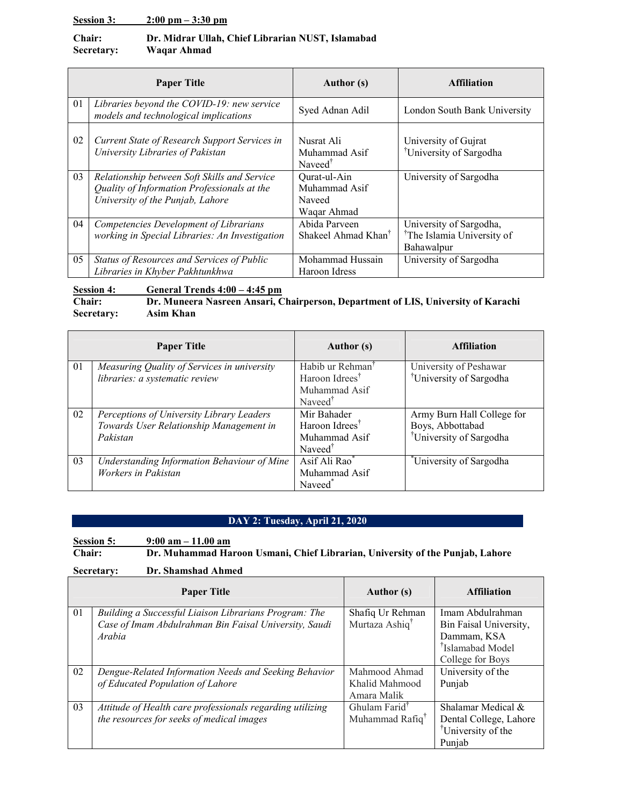#### **Session 3: 2:00 pm – 3:30 pm**

#### **Chair: Dr. Midrar Ullah, Chief Librarian NUST, Islamabad Secretary: Waqar Ahmad**

|    | <b>Paper Title</b>                                                                                                              | Author (s)                                             | <b>Affiliation</b>                                                              |
|----|---------------------------------------------------------------------------------------------------------------------------------|--------------------------------------------------------|---------------------------------------------------------------------------------|
| 01 | Libraries beyond the COVID-19: new service<br>models and technological implications                                             | Syed Adnan Adil                                        | London South Bank University                                                    |
| 02 | Current State of Research Support Services in<br>University Libraries of Pakistan                                               | Nusrat Ali<br>Muhammad Asif<br>Naveed <sup>†</sup>     | University of Gujrat<br><sup>†</sup> University of Sargodha                     |
| 03 | Relationship between Soft Skills and Service<br>Quality of Information Professionals at the<br>University of the Punjab, Lahore | Qurat-ul-Ain<br>Muhammad Asif<br>Naveed<br>Waqar Ahmad | University of Sargodha                                                          |
| 04 | Competencies Development of Librarians<br>working in Special Libraries: An Investigation                                        | Abida Parveen<br>Shakeel Ahmad Khan <sup>1</sup>       | University of Sargodha,<br><sup>†</sup> The Islamia University of<br>Bahawalpur |
| 05 | Status of Resources and Services of Public<br>Libraries in Khyber Pakhtunkhwa                                                   | Mohammad Hussain<br>Haroon Idress                      | University of Sargodha                                                          |

#### **Session 4:** General Trends  $4:00 - 4:45$  pm<br>Chair: Dr. Muneera Nasreen Ansari, C **Chair: Dr. Muneera Nasreen Ansari, Chairperson, Department of LIS, University of Karachi** Asim Khan

|          | <b>Paper Title</b>                          | Author (s)                   | <b>Affiliation</b>                  |
|----------|---------------------------------------------|------------------------------|-------------------------------------|
| 01       | Measuring Quality of Services in university | Habib ur Rehman <sup>T</sup> | University of Peshawar              |
|          | libraries: a systematic review              | Haroon Idrees <sup>T</sup>   | University of Sargodha              |
|          |                                             | Muhammad Asif                |                                     |
|          |                                             | Naveed <sup>†</sup>          |                                     |
| 02       | Perceptions of University Library Leaders   | Mir Bahader                  | Army Burn Hall College for          |
|          | Towards User Relationship Management in     | Haroon Idrees <sup>†</sup>   | Boys, Abbottabad                    |
| Pakistan |                                             | Muhammad Asif                | <sup>†</sup> University of Sargodha |
|          |                                             | Naveed <sup>†</sup>          |                                     |
| 03       | Understanding Information Behaviour of Mine | Asif Ali Rao*                | University of Sargodha              |
|          | Workers in Pakistan                         | Muhammad Asif                |                                     |
|          |                                             | Naveed <sup>*</sup>          |                                     |

# **DAY 2: Tuesday, April 21, 2020**

**Session 5: 9:00 am – 11.00 am Dr. Muhammad Haroon Usmani, Chief Librarian, University of the Punjab, Lahore** 

**Secretary: Dr. Shamshad Ahmed**

|                | <b>Paper Title</b>                                        | <b>Author</b> (s)           | <b>Affiliation</b>             |
|----------------|-----------------------------------------------------------|-----------------------------|--------------------------------|
| 01             | Building a Successful Liaison Librarians Program: The     | Shafiq Ur Rehman            | Imam Abdulrahman               |
|                | Case of Imam Abdulrahman Bin Faisal University, Saudi     | Murtaza Ashiq <sup>†</sup>  | Bin Faisal University,         |
|                | Arabia                                                    |                             | Dammam, KSA                    |
|                |                                                           |                             | <sup>†</sup> Islamabad Model   |
|                |                                                           |                             | College for Boys               |
| 02             | Dengue-Related Information Needs and Seeking Behavior     | Mahmood Ahmad               | University of the              |
|                | of Educated Population of Lahore                          | Khalid Mahmood              | Punjab                         |
|                |                                                           | Amara Malik                 |                                |
| 0 <sub>3</sub> | Attitude of Health care professionals regarding utilizing | Ghulam Farid <sup>T</sup>   | Shalamar Medical &             |
|                | the resources for seeks of medical images                 | Muhammad Rafiq <sup>†</sup> | Dental College, Lahore         |
|                |                                                           |                             | <sup>†</sup> University of the |
|                |                                                           |                             | Punjab                         |